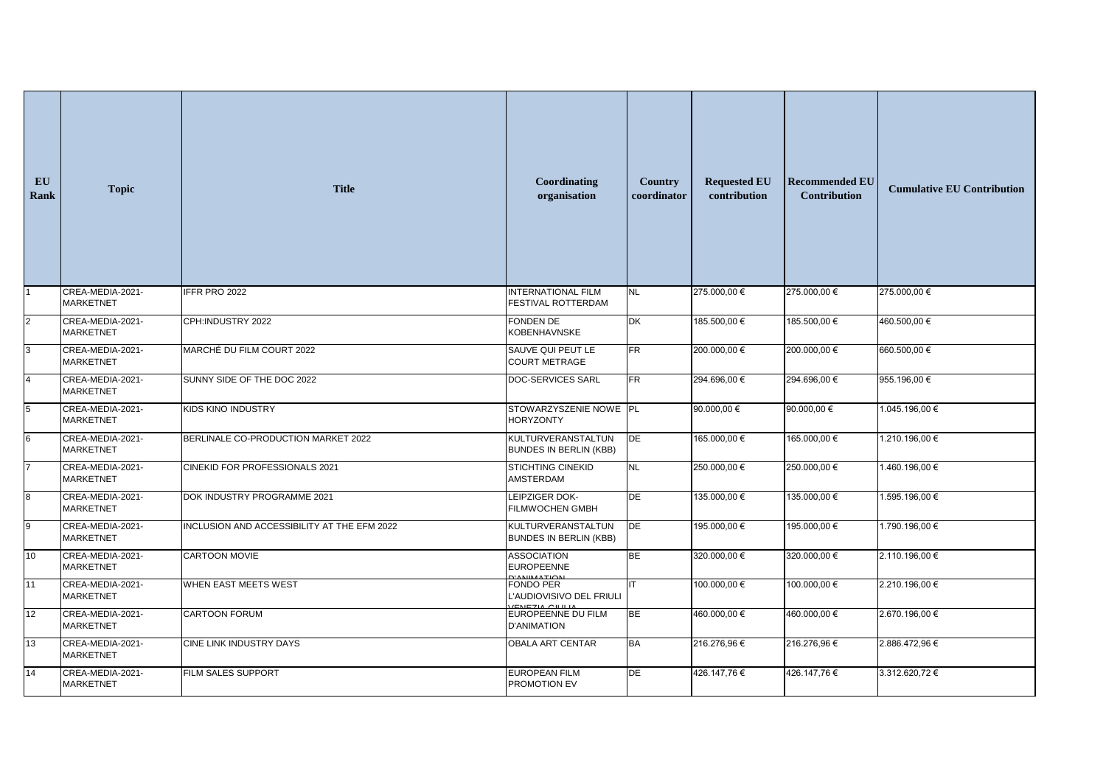| EU<br>Rank      | <b>Topic</b>                         | <b>Title</b>                                | Coordinating<br>organisation                                    | <b>Country</b><br>coordinator | <b>Requested EU</b><br>contribution | <b>Recommended EU</b><br><b>Contribution</b> | <b>Cumulative EU Contribution</b> |
|-----------------|--------------------------------------|---------------------------------------------|-----------------------------------------------------------------|-------------------------------|-------------------------------------|----------------------------------------------|-----------------------------------|
|                 | CREA-MEDIA-2021-<br><b>MARKETNET</b> | IFFR PRO 2022                               | <b>INTERNATIONAL FILM</b><br>FESTIVAL ROTTERDAM                 | NL                            | 275.000,00 €                        | 275.000,00 €                                 | 275.000,00 €                      |
| $\overline{2}$  | CREA-MEDIA-2021-<br><b>MARKETNET</b> | CPH:INDUSTRY 2022                           | FONDEN DE<br>KOBENHAVNSKE                                       | DK                            | 185.500,00 €                        | 185.500,00 €                                 | 460.500,00 €                      |
| 3 <sup>1</sup>  | CREA-MEDIA-2021-<br><b>MARKETNET</b> | MARCHÉ DU FILM COURT 2022                   | SAUVE QUI PEUT LE<br><b>COURT METRAGE</b>                       | <b>FR</b>                     | 200.000,00 €                        | 200.000,00 €                                 | 660.500,00 €                      |
| $\overline{4}$  | CREA-MEDIA-2021-<br><b>MARKETNET</b> | SUNNY SIDE OF THE DOC 2022                  | DOC-SERVICES SARL                                               | FR                            | 294.696,00 €                        | 294.696,00 €                                 | 955.196,00 €                      |
| 5 <sup>5</sup>  | CREA-MEDIA-2021-<br><b>MARKETNET</b> | <b>KIDS KINO INDUSTRY</b>                   | STOWARZYSZENIE NOWE PL<br><b>HORYZONTY</b>                      |                               | 90.000,00 €                         | 90.000,00 €                                  | 1.045.196,00 €                    |
| $6\overline{6}$ | CREA-MEDIA-2021-<br><b>MARKETNET</b> | BERLINALE CO-PRODUCTION MARKET 2022         | KULTURVERANSTALTUN<br><b>BUNDES IN BERLIN (KBB)</b>             | DE                            | 165.000,00 €                        | 165.000,00 €                                 | 1.210.196,00 €                    |
| $\overline{7}$  | CREA-MEDIA-2021-<br><b>MARKETNET</b> | CINEKID FOR PROFESSIONALS 2021              | <b>STICHTING CINEKID</b><br>AMSTERDAM                           | NL                            | 250.000,00 €                        | 250.000,00 €                                 | 1.460.196,00 €                    |
| 8               | CREA-MEDIA-2021-<br><b>MARKETNET</b> | DOK INDUSTRY PROGRAMME 2021                 | LEIPZIGER DOK-<br>FILMWOCHEN GMBH                               | DE                            | 135.000,00 €                        | 135.000,00 €                                 | 1.595.196,00 €                    |
| 9               | CREA-MEDIA-2021-<br>MARKETNET        | INCLUSION AND ACCESSIBILITY AT THE EFM 2022 | KULTURVERANSTALTUN<br><b>BUNDES IN BERLIN (KBB)</b>             | DE                            | 195.000,00 €                        | 195.000,00 €                                 | 1.790.196,00 €                    |
| 10              | CREA-MEDIA-2021-<br><b>MARKETNET</b> | <b>CARTOON MOVIE</b>                        | <b>ASSOCIATION</b><br><b>EUROPEENNE</b><br><b>D'ANIIMATIONL</b> | <b>BE</b>                     | 320.000,00 €                        | 320.000,00 €                                 | 2.110.196,00 €                    |
| 11              | CREA-MEDIA-2021-<br><b>MARKETNET</b> | <b>WHEN EAST MEETS WEST</b>                 | FONDO PER<br>L'AUDIOVISIVO DEL FRIULI<br>VENEZIA CILILIA        | IIT                           | 100.000,00 €                        | 100.000,00 €                                 | 2.210.196,00 €                    |
| 12              | CREA-MEDIA-2021-<br>MARKETNET        | <b>CARTOON FORUM</b>                        | <b>EUROPEENNE DU FILM</b><br><b>D'ANIMATION</b>                 | BE                            | 460.000,00 €                        | 460.000,00 €                                 | 2.670.196,00 €                    |
| 13              | CREA-MEDIA-2021-<br><b>MARKETNET</b> | <b>CINE LINK INDUSTRY DAYS</b>              | OBALA ART CENTAR                                                | BA                            | 216.276,96€                         | 216.276,96€                                  | 2.886.472,96 €                    |
| 14              | CREA-MEDIA-2021-<br><b>MARKETNET</b> | FILM SALES SUPPORT                          | <b>EUROPEAN FILM</b><br>PROMOTION EV                            | DE                            | 426.147,76€                         | 426.147,76€                                  | 3.312.620,72 €                    |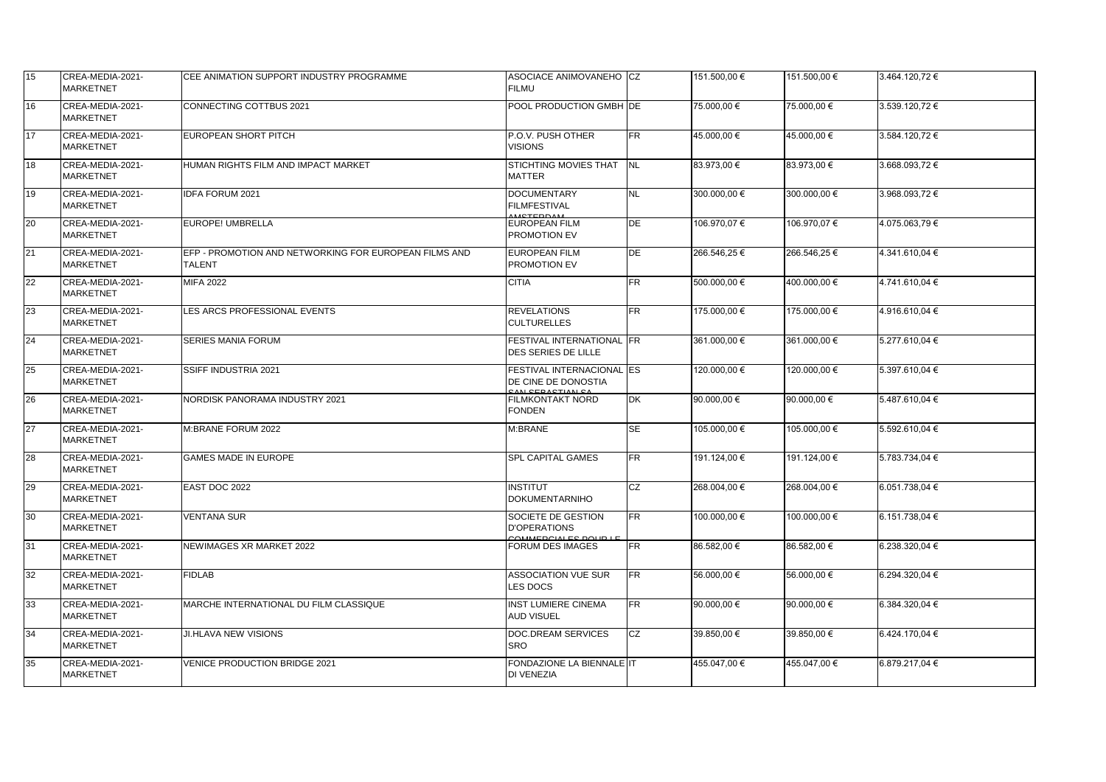| 15              | CREA-MEDIA-2021-<br><b>MARKETNET</b>  | ICEE ANIMATION SUPPORT INDUSTRY PROGRAMME                              | ASOCIACE ANIMOVANEHO CZ<br><b>FILMU</b>                              |             | 151.500,00 € | 151.500,00 € | 3.464.120,72 € |
|-----------------|---------------------------------------|------------------------------------------------------------------------|----------------------------------------------------------------------|-------------|--------------|--------------|----------------|
| 16              | CREA-MEDIA-2021-<br><b>IMARKETNET</b> | CONNECTING COTTBUS 2021                                                | POOL PRODUCTION GMBH DE                                              |             | 75.000,00 €  | 75.000,00 €  | 3.539.120,72 € |
| 17              | CREA-MEDIA-2021-<br><b>MARKETNET</b>  | EUROPEAN SHORT PITCH                                                   | P.O.V. PUSH OTHER<br><b>VISIONS</b>                                  | FR          | 45.000,00 €  | 45.000,00 €  | 3.584.120,72 € |
| 18              | CREA-MEDIA-2021-<br><b>MARKETNET</b>  | HUMAN RIGHTS FILM AND IMPACT MARKET                                    | STICHTING MOVIES THAT INL<br><b>MATTER</b>                           |             | 83.973,00 €  | 83.973,00 €  | 3.668.093,72 € |
| 19              | CREA-MEDIA-2021-<br><b>MARKETNET</b>  | IDFA FORUM 2021                                                        | <b>DOCUMENTARY</b><br><b>FILMFESTIVAL</b><br><b>MCTEDDAM</b>         | <b>NL</b>   | 300.000,00 € | 300.000,00 € | 3.968.093,72 € |
| 20              | CREA-MEDIA-2021-<br><b>MARKETNET</b>  | EUROPE! UMBRELLA                                                       | <b>EUROPEAN FILM</b><br><b>PROMOTION EV</b>                          | DE          | 106.970,07€  | 106.970,07€  | 4.075.063,79 € |
| 21              | CREA-MEDIA-2021-<br><b>MARKETNET</b>  | EFP - PROMOTION AND NETWORKING FOR EUROPEAN FILMS AND<br><b>TALENT</b> | <b>EUROPEAN FILM</b><br><b>PROMOTION EV</b>                          | DE          | 266.546,25€  | 266.546,25€  | 4.341.610,04 € |
| 22              | CREA-MEDIA-2021-<br><b>MARKETNET</b>  | <b>MIFA 2022</b>                                                       | <b>CITIA</b>                                                         | FR          | 500.000,00 € | 400.000,00 € | 4.741.610,04 € |
| 23              | CREA-MEDIA-2021-<br><b>MARKETNET</b>  | LES ARCS PROFESSIONAL EVENTS                                           | <b>REVELATIONS</b><br><b>CULTURELLES</b>                             | FR          | 175.000,00 € | 175.000,00 € | 4.916.610,04 € |
| 24              | CREA-MEDIA-2021-<br><b>MARKETNET</b>  | <b>SERIES MANIA FORUM</b>                                              | FESTIVAL INTERNATIONAL FR<br><b>DES SERIES DE LILLE</b>              |             | 361.000,00 € | 361.000,00 € | 5.277.610,04 € |
| 25              | CREA-MEDIA-2021-<br><b>MARKETNET</b>  | <b>SSIFF INDUSTRIA 2021</b>                                            | FESTIVAL INTERNACIONAL ES<br>DE CINE DE DONOSTIA<br>CAN CEDACTIAN CA |             | 120.000,00 € | 120.000,00 € | 5.397.610,04 € |
| 26              | CREA-MEDIA-2021-<br><b>MARKETNET</b>  | NORDISK PANORAMA INDUSTRY 2021                                         | <b>FILMKONTAKT NORD</b><br><b>FONDEN</b>                             | <b>DK</b>   | 90.000,00 €  | 90.000,00 €  | 5.487.610,04 € |
| $\overline{27}$ | CREA-MEDIA-2021-<br><b>MARKETNET</b>  | M:BRANE FORUM 2022                                                     | M:BRANE                                                              | <b>I</b> SE | 105.000,00 € | 105.000,00 € | 5.592.610,04 € |
| 28              | CREA-MEDIA-2021-<br><b>MARKETNET</b>  | <b>GAMES MADE IN EUROPE</b>                                            | <b>SPL CAPITAL GAMES</b>                                             | FR          | 191.124,00 € | 191.124,00 € | 5.783.734,04 € |
| 29              | CREA-MEDIA-2021-<br>MARKETNET         | EAST DOC 2022                                                          | <b>INSTITUT</b><br><b>DOKUMENTARNIHO</b>                             | cz          | 268.004,00 € | 268.004,00 € | 6.051.738,04 € |
| 30              | CREA-MEDIA-2021-<br><b>MARKETNET</b>  | <b>VENTANA SUR</b>                                                     | SOCIETE DE GESTION<br><b>D'OPERATIONS</b><br>COMMEDOMIES DOUD LE     | FR          | 100.000,00 € | 100.000,00 € | 6.151.738,04 € |
| 31              | CREA-MEDIA-2021-<br><b>MARKETNET</b>  | NEWIMAGES XR MARKET 2022                                               | <b>FORUM DES IMAGES</b>                                              | FR          | 86.582,00 €  | 86.582,00 €  | 6.238.320,04 € |
| 32              | CREA-MEDIA-2021-<br>MARKETNET         | <b>FIDLAB</b>                                                          | <b>ASSOCIATION VUE SUR</b><br>LES DOCS                               | FR          | 56.000,00 €  | 56.000,00 €  | 6.294.320,04 € |
| 33              | CREA-MEDIA-2021-<br><b>MARKETNET</b>  | MARCHE INTERNATIONAL DU FILM CLASSIQUE                                 | <b>INST LUMIERE CINEMA</b><br><b>AUD VISUEL</b>                      | FR          | 90.000,00 €  | 90.000,00 €  | 6.384.320,04 € |
| 34              | CREA-MEDIA-2021-<br>MARKETNET         | JI.HLAVA NEW VISIONS                                                   | DOC.DREAM SERVICES<br><b>SRO</b>                                     | <b>I</b> CZ | 39.850,00 €  | 39.850,00 €  | 6.424.170,04 € |
| 35              | CREA-MEDIA-2021-<br>MARKETNET         | VENICE PRODUCTION BRIDGE 2021                                          | FONDAZIONE LA BIENNALE IT<br>DI VENEZIA                              |             | 455.047,00 € | 455.047,00 € | 6.879.217,04 € |